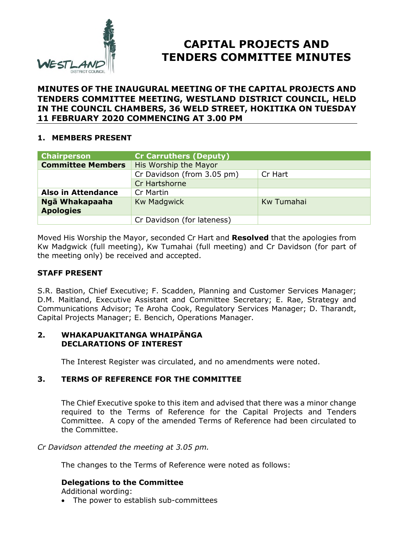

# **CAPITAL PROJECTS AND TENDERS COMMITTEE MINUTES**

## **MINUTES OF THE INAUGURAL MEETING OF THE CAPITAL PROJECTS AND TENDERS COMMITTEE MEETING, WESTLAND DISTRICT COUNCIL, HELD IN THE COUNCIL CHAMBERS, 36 WELD STREET, HOKITIKA ON TUESDAY 11 FEBRUARY 2020 COMMENCING AT 3.00 PM**

## **1. MEMBERS PRESENT**

| <b>Chairperson</b>                 | <b>Cr Carruthers (Deputy)</b> |            |
|------------------------------------|-------------------------------|------------|
| <b>Committee Members</b>           | His Worship the Mayor         |            |
|                                    | Cr Davidson (from 3.05 pm)    | Cr Hart    |
|                                    | Cr Hartshorne                 |            |
| <b>Also in Attendance</b>          | Cr Martin                     |            |
| Ngā Whakapaaha<br><b>Apologies</b> | <b>Kw Madgwick</b>            | Kw Tumahai |
|                                    | Cr Davidson (for lateness)    |            |

Moved His Worship the Mayor, seconded Cr Hart and **Resolved** that the apologies from Kw Madgwick (full meeting), Kw Tumahai (full meeting) and Cr Davidson (for part of the meeting only) be received and accepted.

## **STAFF PRESENT**

S.R. Bastion, Chief Executive; F. Scadden, Planning and Customer Services Manager; D.M. Maitland, Executive Assistant and Committee Secretary; E. Rae, Strategy and Communications Advisor; Te Aroha Cook, Regulatory Services Manager; D. Tharandt, Capital Projects Manager; E. Bencich, Operations Manager.

## **2. WHAKAPUAKITANGA WHAIPĀNGA DECLARATIONS OF INTEREST**

The Interest Register was circulated, and no amendments were noted.

# **3. TERMS OF REFERENCE FOR THE COMMITTEE**

The Chief Executive spoke to this item and advised that there was a minor change required to the Terms of Reference for the Capital Projects and Tenders Committee. A copy of the amended Terms of Reference had been circulated to the Committee.

*Cr Davidson attended the meeting at 3.05 pm.*

The changes to the Terms of Reference were noted as follows:

## **Delegations to the Committee**

Additional wording:

• The power to establish sub-committees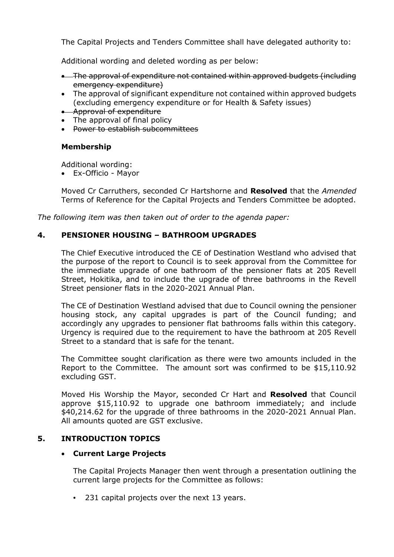The Capital Projects and Tenders Committee shall have delegated authority to:

Additional wording and deleted wording as per below:

- The approval of expenditure not contained within approved budgets (including emergency expenditure)
- The approval of significant expenditure not contained within approved budgets (excluding emergency expenditure or for Health & Safety issues)
- **Approval of expenditure**
- The approval of final policy
- Power to establish subcommittees

## **Membership**

Additional wording:

Ex-Officio - Mayor

Moved Cr Carruthers, seconded Cr Hartshorne and **Resolved** that the *Amended* Terms of Reference for the Capital Projects and Tenders Committee be adopted.

*The following item was then taken out of order to the agenda paper:*

#### **4. PENSIONER HOUSING – BATHROOM UPGRADES**

The Chief Executive introduced the CE of Destination Westland who advised that the purpose of the report to Council is to seek approval from the Committee for the immediate upgrade of one bathroom of the pensioner flats at 205 Revell Street, Hokitika, and to include the upgrade of three bathrooms in the Revell Street pensioner flats in the 2020-2021 Annual Plan.

The CE of Destination Westland advised that due to Council owning the pensioner housing stock, any capital upgrades is part of the Council funding; and accordingly any upgrades to pensioner flat bathrooms falls within this category. Urgency is required due to the requirement to have the bathroom at 205 Revell Street to a standard that is safe for the tenant.

The Committee sought clarification as there were two amounts included in the Report to the Committee. The amount sort was confirmed to be \$15,110.92 excluding GST.

Moved His Worship the Mayor, seconded Cr Hart and **Resolved** that Council approve \$15,110.92 to upgrade one bathroom immediately; and include \$40,214.62 for the upgrade of three bathrooms in the 2020-2021 Annual Plan. All amounts quoted are GST exclusive.

## **5. INTRODUCTION TOPICS**

## **Current Large Projects**

The Capital Projects Manager then went through a presentation outlining the current large projects for the Committee as follows:

• 231 capital projects over the next 13 years.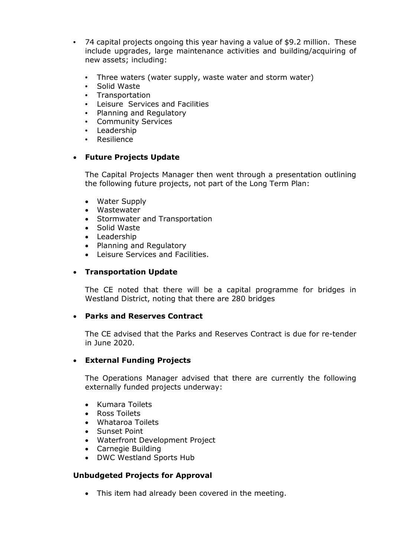- 74 capital projects ongoing this year having a value of \$9.2 million. These include upgrades, large maintenance activities and building/acquiring of new assets; including:
	- Three waters (water supply, waste water and storm water)
	- Solid Waste
	- Transportation
	- Leisure Services and Facilities
	- Planning and Regulatory
	- Community Services
	- Leadership
	- Resilience

# **Future Projects Update**

The Capital Projects Manager then went through a presentation outlining the following future projects, not part of the Long Term Plan:

- Water Supply
- Wastewater
- Stormwater and Transportation
- Solid Waste
- Leadership
- Planning and Regulatory
- Leisure Services and Facilities.

# **Transportation Update**

The CE noted that there will be a capital programme for bridges in Westland District, noting that there are 280 bridges

## **Parks and Reserves Contract**

The CE advised that the Parks and Reserves Contract is due for re-tender in June 2020.

## **External Funding Projects**

The Operations Manager advised that there are currently the following externally funded projects underway:

- Kumara Toilets
- Ross Toilets
- Whataroa Toilets
- Sunset Point
- Waterfront Development Project
- Carnegie Building
- DWC Westland Sports Hub

## **Unbudgeted Projects for Approval**

• This item had already been covered in the meeting.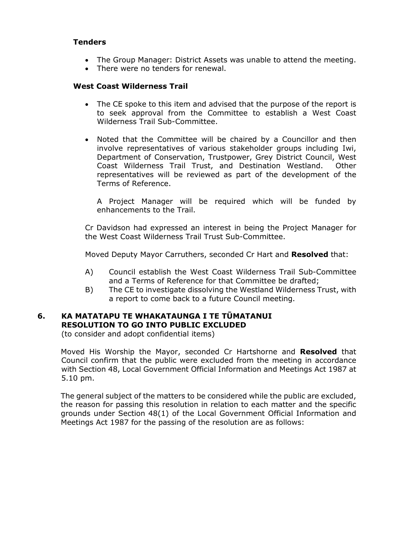#### **Tenders**

- The Group Manager: District Assets was unable to attend the meeting.
- There were no tenders for renewal.

#### **West Coast Wilderness Trail**

- The CE spoke to this item and advised that the purpose of the report is to seek approval from the Committee to establish a West Coast Wilderness Trail Sub-Committee.
- Noted that the Committee will be chaired by a Councillor and then involve representatives of various stakeholder groups including Iwi, Department of Conservation, Trustpower, Grey District Council, West Coast Wilderness Trail Trust, and Destination Westland. Other representatives will be reviewed as part of the development of the Terms of Reference.

A Project Manager will be required which will be funded by enhancements to the Trail.

Cr Davidson had expressed an interest in being the Project Manager for the West Coast Wilderness Trail Trust Sub-Committee.

Moved Deputy Mayor Carruthers, seconded Cr Hart and **Resolved** that:

- A) Council establish the West Coast Wilderness Trail Sub-Committee and a Terms of Reference for that Committee be drafted;
- B) The CE to investigate dissolving the Westland Wilderness Trust, with a report to come back to a future Council meeting.

## **6. KA MATATAPU TE WHAKATAUNGA I TE TŪMATANUI RESOLUTION TO GO INTO PUBLIC EXCLUDED**

(to consider and adopt confidential items)

Moved His Worship the Mayor, seconded Cr Hartshorne and **Resolved** that Council confirm that the public were excluded from the meeting in accordance with Section 48, Local Government Official Information and Meetings Act 1987 at 5.10 pm.

The general subject of the matters to be considered while the public are excluded, the reason for passing this resolution in relation to each matter and the specific grounds under Section 48(1) of the Local Government Official Information and Meetings Act 1987 for the passing of the resolution are as follows: